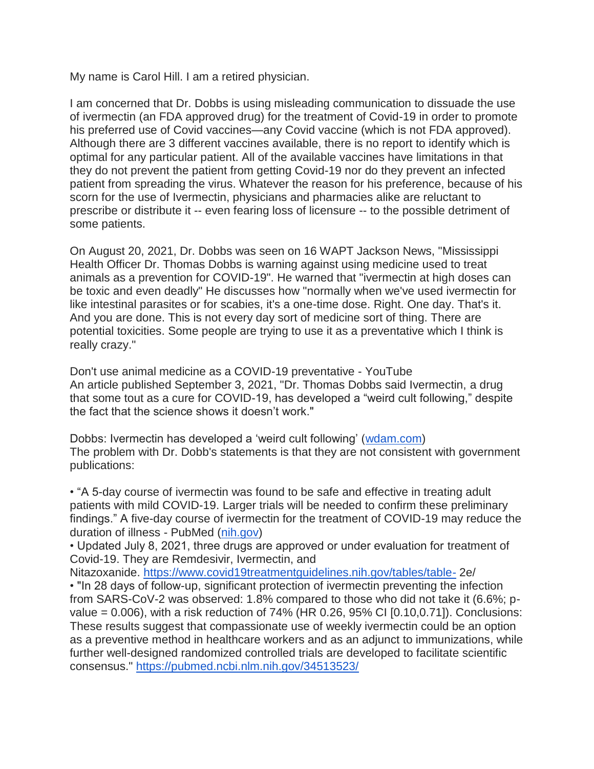My name is Carol Hill. I am a retired physician.

I am concerned that Dr. Dobbs is using misleading communication to dissuade the use of ivermectin (an FDA approved drug) for the treatment of Covid-19 in order to promote his preferred use of Covid vaccines—any Covid vaccine (which is not FDA approved). Although there are 3 different vaccines available, there is no report to identify which is optimal for any particular patient. All of the available vaccines have limitations in that they do not prevent the patient from getting Covid-19 nor do they prevent an infected patient from spreading the virus. Whatever the reason for his preference, because of his scorn for the use of Ivermectin, physicians and pharmacies alike are reluctant to prescribe or distribute it -- even fearing loss of licensure -- to the possible detriment of some patients.

On August 20, 2021, Dr. Dobbs was seen on 16 WAPT Jackson News, "Mississippi Health Officer Dr. Thomas Dobbs is warning against using medicine used to treat animals as a prevention for COVID-19". He warned that "ivermectin at high doses can be toxic and even deadly" He discusses how "normally when we've used ivermectin for like intestinal parasites or for scabies, it's a one-time dose. Right. One day. That's it. And you are done. This is not every day sort of medicine sort of thing. There are potential toxicities. Some people are trying to use it as a preventative which I think is really crazy."

Don't use animal medicine as a COVID-19 preventative - YouTube An article published September 3, 2021, "Dr. Thomas Dobbs said Ivermectin, a drug that some tout as a cure for COVID-19, has developed a "weird cult following," despite the fact that the science shows it doesn't work."

Dobbs: Ivermectin has developed a 'weird cult following' [\(wdam.com\)](http://wdam.com/) The problem with Dr. Dobb's statements is that they are not consistent with government publications:

• "A 5-day course of ivermectin was found to be safe and effective in treating adult patients with mild COVID-19. Larger trials will be needed to confirm these preliminary findings." A five-day course of ivermectin for the treatment of COVID-19 may reduce the duration of illness - PubMed [\(nih.gov\)](http://nih.gov/)

• Updated July 8, 2021, three drugs are approved or under evaluation for treatment of Covid-19. They are Remdesivir, Ivermectin, and

Nitazoxanide. <https://www.covid19treatmentguidelines.nih.gov/tables/table-> 2e/

• "In 28 days of follow-up, significant protection of ivermectin preventing the infection from SARS-CoV-2 was observed: 1.8% compared to those who did not take it (6.6%; pvalue = 0.006), with a risk reduction of 74% (HR 0.26, 95% CI [0.10,0.71]). Conclusions: These results suggest that compassionate use of weekly ivermectin could be an option as a preventive method in healthcare workers and as an adjunct to immunizations, while further well-designed randomized controlled trials are developed to facilitate scientific consensus." <https://pubmed.ncbi.nlm.nih.gov/34513523/>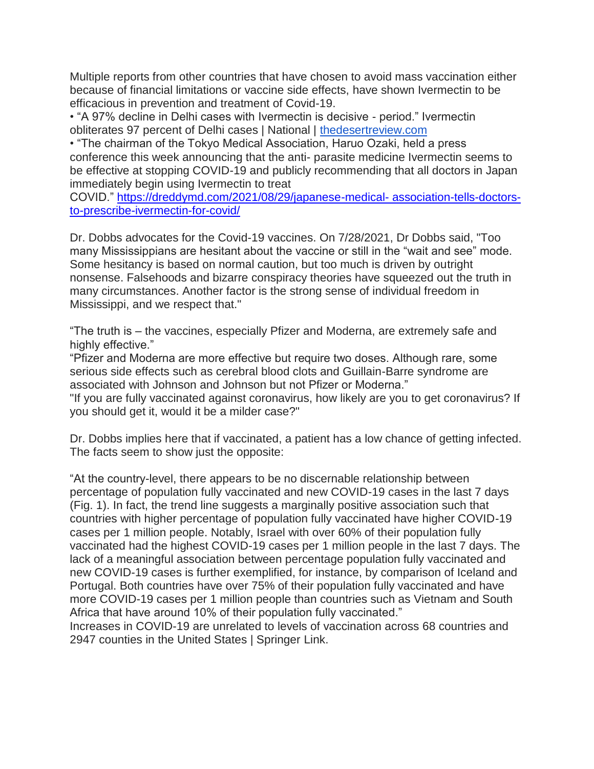Multiple reports from other countries that have chosen to avoid mass vaccination either because of financial limitations or vaccine side effects, have shown Ivermectin to be efficacious in prevention and treatment of Covid-19.

• "A 97% decline in Delhi cases with Ivermectin is decisive - period." Ivermectin obliterates 97 percent of Delhi cases | National | [thedesertreview.com](http://thedesertreview.com/)

• "The chairman of the Tokyo Medical Association, Haruo Ozaki, held a press conference this week announcing that the anti- parasite medicine Ivermectin seems to be effective at stopping COVID-19 and publicly recommending that all doctors in Japan immediately begin using Ivermectin to treat

COVID." [https://dreddymd.com/2021/08/29/japanese-medical-](https://dreddymd.com/2021/08/29/japanese-medical- association-tells-doctors-to-prescribe-ivermectin-for-covid/) association-tells-doctors[to-prescribe-ivermectin-for-covid/](https://dreddymd.com/2021/08/29/japanese-medical- association-tells-doctors-to-prescribe-ivermectin-for-covid/)

Dr. Dobbs advocates for the Covid-19 vaccines. On 7/28/2021, Dr Dobbs said, "Too many Mississippians are hesitant about the vaccine or still in the "wait and see" mode. Some hesitancy is based on normal caution, but too much is driven by outright nonsense. Falsehoods and bizarre conspiracy theories have squeezed out the truth in many circumstances. Another factor is the strong sense of individual freedom in Mississippi, and we respect that."

"The truth is – the vaccines, especially Pfizer and Moderna, are extremely safe and highly effective."

"Pfizer and Moderna are more effective but require two doses. Although rare, some serious side effects such as cerebral blood clots and Guillain-Barre syndrome are associated with Johnson and Johnson but not Pfizer or Moderna."

"If you are fully vaccinated against coronavirus, how likely are you to get coronavirus? If you should get it, would it be a milder case?"

Dr. Dobbs implies here that if vaccinated, a patient has a low chance of getting infected. The facts seem to show just the opposite:

"At the country-level, there appears to be no discernable relationship between percentage of population fully vaccinated and new COVID-19 cases in the last 7 days (Fig. 1). In fact, the trend line suggests a marginally positive association such that countries with higher percentage of population fully vaccinated have higher COVID-19 cases per 1 million people. Notably, Israel with over 60% of their population fully vaccinated had the highest COVID-19 cases per 1 million people in the last 7 days. The lack of a meaningful association between percentage population fully vaccinated and new COVID-19 cases is further exemplified, for instance, by comparison of Iceland and Portugal. Both countries have over 75% of their population fully vaccinated and have more COVID-19 cases per 1 million people than countries such as Vietnam and South Africa that have around 10% of their population fully vaccinated."

Increases in COVID-19 are unrelated to levels of vaccination across 68 countries and 2947 counties in the United States | Springer Link.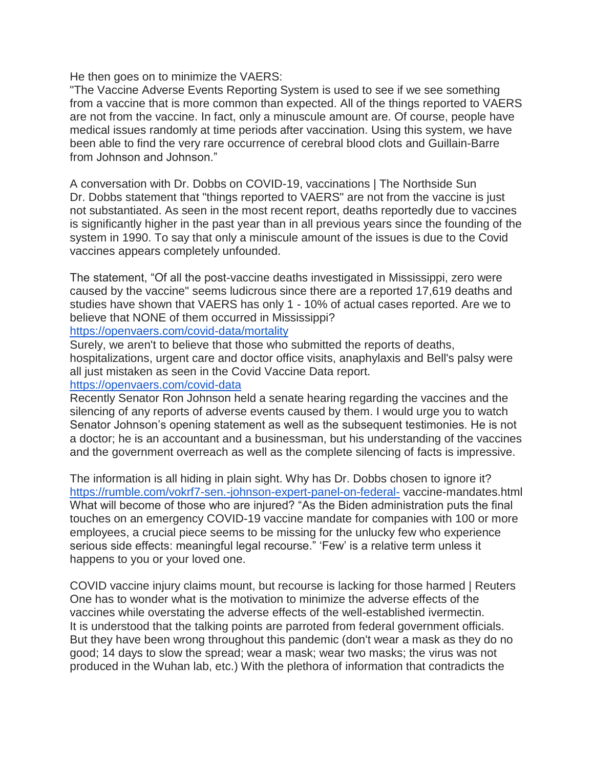He then goes on to minimize the VAERS:

"The Vaccine Adverse Events Reporting System is used to see if we see something from a vaccine that is more common than expected. All of the things reported to VAERS are not from the vaccine. In fact, only a minuscule amount are. Of course, people have medical issues randomly at time periods after vaccination. Using this system, we have been able to find the very rare occurrence of cerebral blood clots and Guillain-Barre from Johnson and Johnson."

A conversation with Dr. Dobbs on COVID-19, vaccinations | The Northside Sun Dr. Dobbs statement that "things reported to VAERS" are not from the vaccine is just not substantiated. As seen in the most recent report, deaths reportedly due to vaccines is significantly higher in the past year than in all previous years since the founding of the system in 1990. To say that only a miniscule amount of the issues is due to the Covid vaccines appears completely unfounded.

The statement, "Of all the post-vaccine deaths investigated in Mississippi, zero were caused by the vaccine" seems ludicrous since there are a reported 17,619 deaths and studies have shown that VAERS has only 1 - 10% of actual cases reported. Are we to believe that NONE of them occurred in Mississippi?

## <https://openvaers.com/covid-data/mortality>

Surely, we aren't to believe that those who submitted the reports of deaths, hospitalizations, urgent care and doctor office visits, anaphylaxis and Bell's palsy were all just mistaken as seen in the Covid Vaccine Data report.

## <https://openvaers.com/covid-data>

Recently Senator Ron Johnson held a senate hearing regarding the vaccines and the silencing of any reports of adverse events caused by them. I would urge you to watch Senator Johnson's opening statement as well as the subsequent testimonies. He is not a doctor; he is an accountant and a businessman, but his understanding of the vaccines and the government overreach as well as the complete silencing of facts is impressive.

The information is all hiding in plain sight. Why has Dr. Dobbs chosen to ignore it? <https://rumble.com/vokrf7-sen.-johnson-expert-panel-on-federal-> vaccine-mandates.html What will become of those who are injured? "As the Biden administration puts the final touches on an emergency COVID-19 vaccine mandate for companies with 100 or more employees, a crucial piece seems to be missing for the unlucky few who experience serious side effects: meaningful legal recourse." 'Few' is a relative term unless it happens to you or your loved one.

COVID vaccine injury claims mount, but recourse is lacking for those harmed | Reuters One has to wonder what is the motivation to minimize the adverse effects of the vaccines while overstating the adverse effects of the well-established ivermectin. It is understood that the talking points are parroted from federal government officials. But they have been wrong throughout this pandemic (don't wear a mask as they do no good; 14 days to slow the spread; wear a mask; wear two masks; the virus was not produced in the Wuhan lab, etc.) With the plethora of information that contradicts the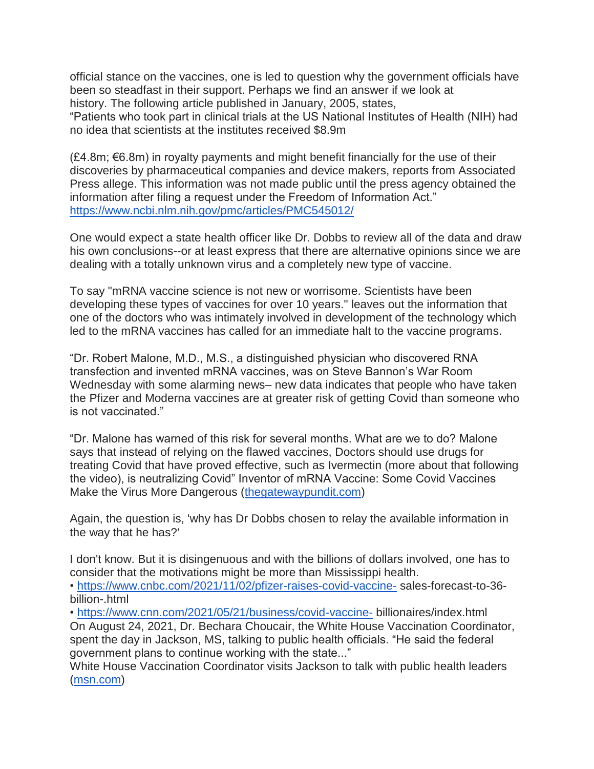official stance on the vaccines, one is led to question why the government officials have been so steadfast in their support. Perhaps we find an answer if we look at history. The following article published in January, 2005, states,

"Patients who took part in clinical trials at the US National Institutes of Health (NIH) had no idea that scientists at the institutes received \$8.9m

 $(E4.8m; \in 6.8m)$  in royalty payments and might benefit financially for the use of their discoveries by pharmaceutical companies and device makers, reports from Associated Press allege. This information was not made public until the press agency obtained the information after filing a request under the Freedom of Information Act." <https://www.ncbi.nlm.nih.gov/pmc/articles/PMC545012/>

One would expect a state health officer like Dr. Dobbs to review all of the data and draw his own conclusions--or at least express that there are alternative opinions since we are dealing with a totally unknown virus and a completely new type of vaccine.

To say "mRNA vaccine science is not new or worrisome. Scientists have been developing these types of vaccines for over 10 years." leaves out the information that one of the doctors who was intimately involved in development of the technology which led to the mRNA vaccines has called for an immediate halt to the vaccine programs.

"Dr. Robert Malone, M.D., M.S., a distinguished physician who discovered RNA transfection and invented mRNA vaccines, was on Steve Bannon's War Room Wednesday with some alarming news– new data indicates that people who have taken the Pfizer and Moderna vaccines are at greater risk of getting Covid than someone who is not vaccinated."

"Dr. Malone has warned of this risk for several months. What are we to do? Malone says that instead of relying on the flawed vaccines, Doctors should use drugs for treating Covid that have proved effective, such as Ivermectin (more about that following the video), is neutralizing Covid" Inventor of mRNA Vaccine: Some Covid Vaccines Make the Virus More Dangerous [\(thegatewaypundit.com\)](http://thegatewaypundit.com/)

Again, the question is, 'why has Dr Dobbs chosen to relay the available information in the way that he has?'

I don't know. But it is disingenuous and with the billions of dollars involved, one has to consider that the motivations might be more than Mississippi health.

• <https://www.cnbc.com/2021/11/02/pfizer-raises-covid-vaccine-> sales-forecast-to-36 billion-.html

• <https://www.cnn.com/2021/05/21/business/covid-vaccine-> billionaires/index.html On August 24, 2021, Dr. Bechara Choucair, the White House Vaccination Coordinator, spent the day in Jackson, MS, talking to public health officials. "He said the federal government plans to continue working with the state..."

White House Vaccination Coordinator visits Jackson to talk with public health leaders [\(msn.com\)](http://msn.com/)